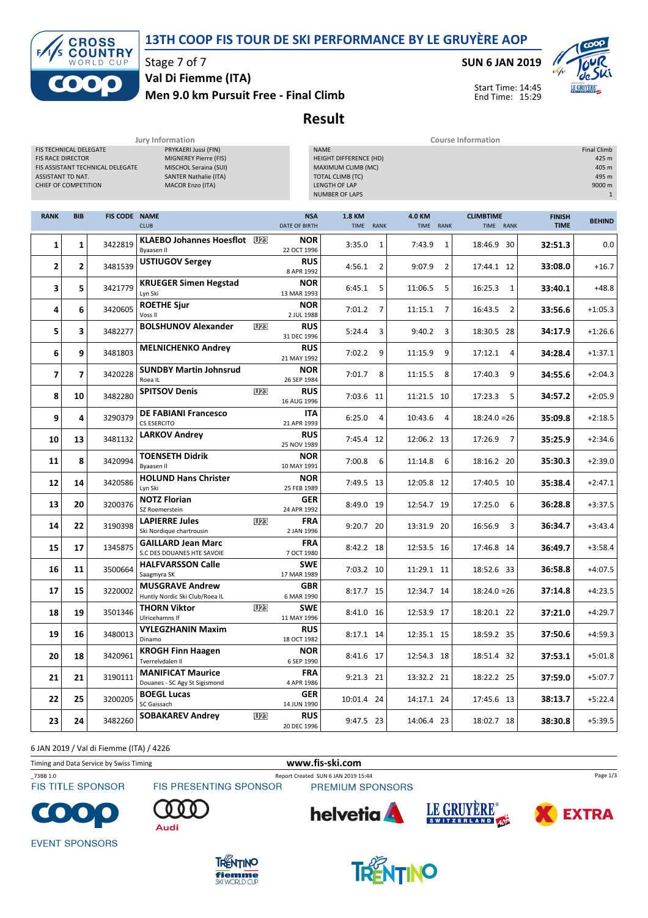## 13TH COOP FIS TOUR DE SKI PERFORMANCE BY LE GRUYÈRE AOP



Stage 7 of 7 Val Di Fiemme (ITA)

#### Men 9.0 km Pursuit Free - Final Climb

#### SUN 6 JAN 2019



Start Time: 14:45 End Time: 15:29

#### Result

Jury Information Course Information

| FIS TECHNICAL DELEGATE<br>PRYKAERI Jussi (FIN)<br><b>FIS RACE DIRECTOR</b><br>MIGNEREY Pierre (FIS)<br>MISCHOL Seraina (SUI)<br>FIS ASSISTANT TECHNICAL DELEGATE<br>ASSISTANT TD NAT.<br><b>SANTER Nathalie (ITA)</b><br>CHIEF OF COMPETITION<br><b>MACOR Enzo (ITA)</b> |                         |                      |                                                           |            | <b>NAME</b><br><b>HEIGHT DIFFERENCE (HD)</b><br>MAXIMUM CLIMB (MC)<br><b>TOTAL CLIMB (TC)</b><br>LENGTH OF LAP<br><b>NUMBER OF LAPS</b> |                            |   |                     |                               |                              |               |  |
|--------------------------------------------------------------------------------------------------------------------------------------------------------------------------------------------------------------------------------------------------------------------------|-------------------------|----------------------|-----------------------------------------------------------|------------|-----------------------------------------------------------------------------------------------------------------------------------------|----------------------------|---|---------------------|-------------------------------|------------------------------|---------------|--|
| <b>RANK</b>                                                                                                                                                                                                                                                              | <b>BIB</b>              | <b>FIS CODE NAME</b> | <b>CLUB</b>                                               |            | <b>NSA</b><br>DATE OF BIRTH                                                                                                             | <b>1.8 KM</b><br>TIME RANK |   | 4.0 KM<br>TIME RANK | <b>CLIMBTIME</b><br>TIME RANK | <b>FINISH</b><br><b>TIME</b> | <b>BEHIND</b> |  |
| 1                                                                                                                                                                                                                                                                        | 1                       | 3422819              | <b>KLAEBO Johannes Hoesflot</b> U28<br><b>Byaasen II</b>  |            | <b>NOR</b><br>22 OCT 1996                                                                                                               | 3:35.0                     | 1 | 7:43.9<br>1         | 18:46.9 30                    | 32:51.3                      | 0.0           |  |
| 2                                                                                                                                                                                                                                                                        | 2                       | 3481539              | <b>USTIUGOV Sergey</b>                                    |            | <b>RUS</b><br>8 APR 1992                                                                                                                | 4:56.1                     | 2 | 9:07.9<br>2         | 17:44.1 12                    | 33:08.0                      | $+16.7$       |  |
| 3                                                                                                                                                                                                                                                                        | 5                       | 3421779              | <b>KRUEGER Simen Hegstad</b><br>Lyn Ski                   |            | <b>NOR</b><br>13 MAR 1993                                                                                                               | 6:45.1                     | 5 | 11:06.5<br>5        | 16:25.3<br>1                  | 33:40.1                      | $+48.8$       |  |
| 4                                                                                                                                                                                                                                                                        | 6                       | 3420605              | <b>ROETHE Sjur</b><br>Voss II                             |            | <b>NOR</b><br>2 JUL 1988                                                                                                                | 7:01.2                     | 7 | 11:15.1<br>7        | 16:43.5<br>2                  | 33:56.6                      | $+1:05.3$     |  |
| 5                                                                                                                                                                                                                                                                        | 3                       | 3482277              | <b>BOLSHUNOV Alexander</b>                                | <b>U23</b> | <b>RUS</b><br>31 DEC 1996                                                                                                               | 5:24.4                     | 3 | 9:40.2<br>3         | 18:30.5 28                    | 34:17.9                      | $+1:26.6$     |  |
| 6                                                                                                                                                                                                                                                                        | 9                       | 3481803              | <b>MELNICHENKO Andrey</b>                                 |            | <b>RUS</b><br>21 MAY 1992                                                                                                               | 7:02.2                     | 9 | 11:15.9<br>9        | 17:12.1<br>4                  | 34:28.4                      | $+1:37.1$     |  |
| 7                                                                                                                                                                                                                                                                        | $\overline{\mathbf{z}}$ | 3420228              | <b>SUNDBY Martin Johnsrud</b><br>Roea IL                  |            | <b>NOR</b><br>26 SEP 1984                                                                                                               | 7:01.7                     | 8 | 11:15.5<br>8        | 9<br>17:40.3                  | 34:55.6                      | $+2:04.3$     |  |
| 8                                                                                                                                                                                                                                                                        | 10                      | 3482280              | <b>SPITSOV Denis</b>                                      | <b>U23</b> | <b>RUS</b><br>16 AUG 1996                                                                                                               | 7:03.6 11                  |   | 11:21.5 10          | 17:23.3<br>5                  | 34:57.2                      | $+2:05.9$     |  |
| 9                                                                                                                                                                                                                                                                        | 4                       | 3290379              | <b>DE FABIANI Francesco</b><br><b>CS ESERCITO</b>         |            | ITA<br>21 APR 1993                                                                                                                      | 6:25.0                     | 4 | 10:43.6<br>4        | $18:24.0 = 26$                | 35:09.8                      | $+2:18.5$     |  |
| 10                                                                                                                                                                                                                                                                       | 13                      | 3481132              | <b>LARKOV Andrey</b>                                      |            | <b>RUS</b><br>25 NOV 1989                                                                                                               | 7:45.4 12                  |   | 12:06.2 13          | 17:26.9<br>$\overline{7}$     | 35:25.9                      | $+2:34.6$     |  |
| 11                                                                                                                                                                                                                                                                       | 8                       | 3420994              | <b>TOENSETH Didrik</b><br>Byaasen II                      |            | <b>NOR</b><br>10 MAY 1991                                                                                                               | 7:00.8                     | 6 | 11:14.8<br>6        | 18:16.2 20                    | 35:30.3                      | $+2:39.0$     |  |
| 12                                                                                                                                                                                                                                                                       | 14                      | 3420586              | <b>HOLUND Hans Christer</b><br>Lyn Ski                    |            | <b>NOR</b><br>25 FEB 1989                                                                                                               | 7:49.5 13                  |   | 12:05.8 12          | 17:40.5 10                    | 35:38.4                      | $+2:47.1$     |  |
| 13                                                                                                                                                                                                                                                                       | 20                      | 3200376              | <b>NOTZ Florian</b><br>SZ Roemerstein                     |            | GER<br>24 APR 1992                                                                                                                      | 8:49.0 19                  |   | 12:54.7 19          | 6<br>17:25.0                  | 36:28.8                      | $+3:37.5$     |  |
| 14                                                                                                                                                                                                                                                                       | 22                      | 3190398              | <b>LAPIERRE Jules</b><br>Ski Nordique chartrousin         | <b>U23</b> | <b>FRA</b><br>2 JAN 1996                                                                                                                | 9:20.7 20                  |   | 13:31.9 20          | 16:56.9<br>3                  | 36:34.7                      | $+3:43.4$     |  |
| 15                                                                                                                                                                                                                                                                       | 17                      | 1345875              | <b>GAILLARD Jean Marc</b><br>S.C DES DOUANES HTE SAVOIE   |            | <b>FRA</b><br>7 OCT 1980                                                                                                                | 8:42.2 18                  |   | 12:53.5 16          | 17:46.8 14                    | 36:49.7                      | $+3:58.4$     |  |
| 16                                                                                                                                                                                                                                                                       | 11                      | 3500664              | <b>HALFVARSSON Calle</b><br>Saagmyra SK                   |            | <b>SWE</b><br>17 MAR 1989                                                                                                               | 7:03.2 10                  |   | 11:29.1 11          | 18:52.6 33                    | 36:58.8                      | $+4:07.5$     |  |
| 17                                                                                                                                                                                                                                                                       | 15                      | 3220002              | <b>MUSGRAVE Andrew</b><br>Huntly Nordic Ski Club/Roea IL  |            | <b>GBR</b><br>6 MAR 1990                                                                                                                | 8:17.7 15                  |   | 12:34.7 14          | $18:24.0 = 26$                | 37:14.8                      | $+4:23.5$     |  |
| 18                                                                                                                                                                                                                                                                       | 19                      | 3501346              | THORN Viktor<br>Ulricehamns If                            | <b>U23</b> | <b>SWE</b><br>11 MAY 1996                                                                                                               | 8:41.0 16                  |   | 12:53.9 17          | 18:20.1 22                    | 37:21.0                      | $+4:29.7$     |  |
| 19                                                                                                                                                                                                                                                                       | 16                      | 3480013              | <b>VYLEGZHANIN Maxim</b><br>Dinamo                        |            | <b>RUS</b><br>18 OCT 1982                                                                                                               | 8:17.1 14                  |   | 12:35.1 15          | 18:59.2 35                    | 37:50.6                      | $+4:59.3$     |  |
| 20                                                                                                                                                                                                                                                                       | 18                      | 3420961              | <b>KROGH Finn Haagen</b><br>Tverrelvdalen Il              |            | <b>NOR</b><br>6 SEP 1990                                                                                                                | 8:41.6 17                  |   | 12:54.3 18          | 18:51.4 32                    | 37:53.1                      | $+5:01.8$     |  |
| 21                                                                                                                                                                                                                                                                       | 21                      | 3190111              | <b>MANIFICAT Maurice</b><br>Douanes - SC Agy St Sigismond |            | <b>FRA</b><br>4 APR 1986                                                                                                                | 9:21.3 21                  |   | 13:32.2 21          | 18:22.2 25                    | 37:59.0                      | $+5:07.7$     |  |
| 22                                                                                                                                                                                                                                                                       | 25                      | 3200205              | <b>BOEGL Lucas</b><br>SC Gaissach                         |            | GER<br>14 JUN 1990                                                                                                                      | 10:01.4 24                 |   | 14:17.1 24          | 17:45.6 13                    | 38:13.7                      | $+5:22.4$     |  |
| 23                                                                                                                                                                                                                                                                       | 24                      | 3482260              | <b>SOBAKAREV Andrey</b>                                   | <b>U23</b> | <b>RUS</b><br>20 DEC 1996                                                                                                               | 9:47.5 23                  |   | 14:06.4 23          | 18:02.7 18                    | 38:30.8                      | $+5:39.5$     |  |

6 JAN 2019 / Val di Fiemme (ITA) / 4226

Timing and Data Service by Swiss Timing WWW.fis-ski.com

\_73BB 1.0 Report Created SUN 6 JAN 2019 15:44 **FIS TITLE SPONSOR** 

FIS PRESENTING SPONSOR

PREMIUM SPONSORS



Audi







Page 1/3

**EVENT SPONSORS** 



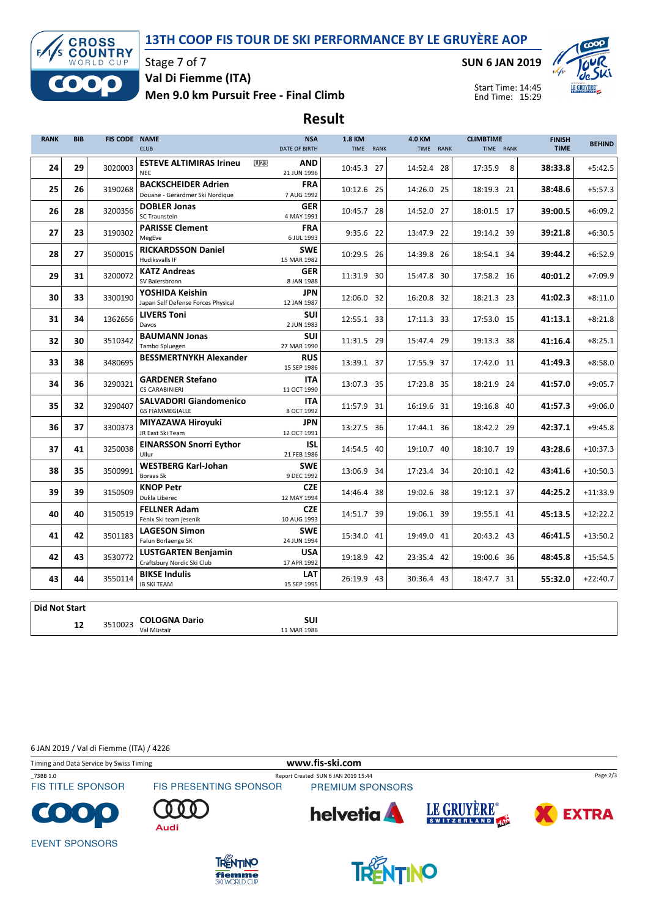## 13TH COOP FIS TOUR DE SKI PERFORMANCE BY LE GRUYÈRE AOP



Stage 7 of 7 Val Di Fiemme (ITA)

Men 9.0 km Pursuit Free - Final Climb

SUN 6 JAN 2019



Start Time: 14:45 End Time: 15:29

# Result

| <b>RANK</b> | <b>BIB</b> | FIS CODE NAME |                                                               | <b>NSA</b>                              | 1.8 KM     | 4.0 KM     | <b>CLIMBTIME</b> | <b>FINISH</b> | <b>BEHIND</b> |
|-------------|------------|---------------|---------------------------------------------------------------|-----------------------------------------|------------|------------|------------------|---------------|---------------|
|             |            |               | <b>CLUB</b>                                                   | DATE OF BIRTH                           | TIME RANK  | TIME RANK  | TIME RANK        | <b>TIME</b>   |               |
| 24          | 29         | 3020003       | <b>ESTEVE ALTIMIRAS Irineu</b><br><b>NEC</b>                  | <b>U23</b><br><b>AND</b><br>21 JUN 1996 | 10:45.3 27 | 14:52.4 28 | 17:35.9<br>8     | 38:33.8       | $+5:42.5$     |
| 25          | 26         | 3190268       | <b>BACKSCHEIDER Adrien</b><br>Douane - Gerardmer Ski Nordique | <b>FRA</b><br>7 AUG 1992                | 10:12.6 25 | 14:26.0 25 | 18:19.3 21       | 38:48.6       | $+5:57.3$     |
| 26          | 28         | 3200356       | <b>DOBLER Jonas</b><br>SC Traunstein                          | <b>GER</b><br>4 MAY 1991                | 10:45.7 28 | 14:52.0 27 | 18:01.5 17       | 39:00.5       | $+6:09.2$     |
| 27          | 23         | 3190302       | <b>PARISSE Clement</b><br>MegEve                              | <b>FRA</b><br>6 JUL 1993                | 9:35.6 22  | 13:47.9 22 | 19:14.2 39       | 39:21.8       | $+6:30.5$     |
| 28          | 27         | 3500015       | <b>RICKARDSSON Daniel</b><br>Hudiksvalls IF                   | <b>SWE</b><br>15 MAR 1982               | 10:29.5 26 | 14:39.8 26 | 18:54.1 34       | 39:44.2       | $+6:52.9$     |
| 29          | 31         | 3200072       | <b>KATZ Andreas</b><br>SV Baiersbronn                         | <b>GER</b><br>8 JAN 1988                | 11:31.9 30 | 15:47.8 30 | 17:58.2 16       | 40:01.2       | $+7:09.9$     |
| 30          | 33         | 3300190       | YOSHIDA Keishin<br>Japan Self Defense Forces Physical         | <b>JPN</b><br>12 JAN 1987               | 12:06.0 32 | 16:20.8 32 | 18:21.3 23       | 41:02.3       | $+8:11.0$     |
| 31          | 34         | 1362656       | <b>LIVERS Toni</b><br>Davos                                   | <b>SUI</b><br>2 JUN 1983                | 12:55.1 33 | 17:11.3 33 | 17:53.0 15       | 41:13.1       | $+8:21.8$     |
| 32          | 30         | 3510342       | <b>BAUMANN Jonas</b><br>Tambo Spluegen                        | <b>SUI</b><br>27 MAR 1990               | 11:31.5 29 | 15:47.4 29 | 19:13.3 38       | 41:16.4       | $+8:25.1$     |
| 33          | 38         | 3480695       | <b>BESSMERTNYKH Alexander</b>                                 | <b>RUS</b><br>15 SEP 1986               | 13:39.1 37 | 17:55.9 37 | 17:42.0 11       | 41:49.3       | $+8:58.0$     |
| 34          | 36         | 3290321       | <b>GARDENER Stefano</b><br><b>CS CARABINIERI</b>              | <b>ITA</b><br>11 OCT 1990               | 13:07.3 35 | 17:23.8 35 | 18:21.9 24       | 41:57.0       | $+9:05.7$     |
| 35          | 32         | 3290407       | <b>SALVADORI Giandomenico</b><br><b>GS FIAMMEGIALLE</b>       | <b>ITA</b><br>8 OCT 1992                | 11:57.9 31 | 16:19.6 31 | 19:16.8 40       | 41:57.3       | $+9:06.0$     |
| 36          | 37         | 3300373       | MIYAZAWA Hiroyuki<br>JR East Ski Team                         | <b>JPN</b><br>12 OCT 1991               | 13:27.5 36 | 17:44.1 36 | 18:42.2 29       | 42:37.1       | $+9:45.8$     |
| 37          | 41         | 3250038       | <b>EINARSSON Snorri Eythor</b><br>Ullur                       | ISL<br>21 FEB 1986                      | 14:54.5 40 | 19:10.7 40 | 18:10.7 19       | 43:28.6       | $+10:37.3$    |
| 38          | 35         | 3500991       | <b>WESTBERG Karl-Johan</b><br>Boraas Sk                       | <b>SWE</b><br>9 DEC 1992                | 13:06.9 34 | 17:23.4 34 | 20:10.1 42       | 43:41.6       | $+10:50.3$    |
| 39          | 39         | 3150509       | <b>KNOP Petr</b><br>Dukla Liberec                             | <b>CZE</b><br>12 MAY 1994               | 14:46.4 38 | 19:02.6 38 | 19:12.1 37       | 44:25.2       | $+11:33.9$    |
| 40          | 40         | 3150519       | <b>FELLNER Adam</b><br>Fenix Ski team jesenik                 | <b>CZE</b><br>10 AUG 1993               | 14:51.7 39 | 19:06.1 39 | 19:55.1 41       | 45:13.5       | $+12:22.2$    |
| 41          | 42         | 3501183       | <b>LAGESON Simon</b><br>Falun Borlaenge SK                    | <b>SWE</b><br>24 JUN 1994               | 15:34.0 41 | 19:49.0 41 | 20:43.2 43       | 46:41.5       | $+13:50.2$    |
| 42          | 43         | 3530772       | <b>LUSTGARTEN Benjamin</b><br>Craftsbury Nordic Ski Club      | <b>USA</b><br>17 APR 1992               | 19:18.9 42 | 23:35.4 42 | 19:00.6 36       | 48:45.8       | $+15:54.5$    |
| 43          | 44         | 3550114       | <b>BIKSE Indulis</b><br><b>IB SKI TEAM</b>                    | LAT<br>15 SEP 1995                      | 26:19.9 43 | 30:36.4 43 | 18:47.7 31       | 55:32.0       | $+22:40.7$    |
| nid Not     |            |               |                                                               |                                         |            |            |                  |               |               |

Did Not Start 12 3510023 COLOGNA Dario<br>
Val Müstair<br>
11 MAR 1986 11 MAR 1986

6 JAN 2019 / Val di Fiemme (ITA) / 4226



**fiemme**<br>SKI WORLD CUP